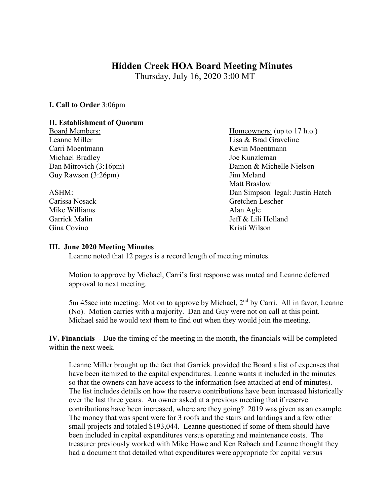## **Hidden Creek HOA Board Meeting Minutes**

Thursday, July 16, 2020 3:00 MT

**I. Call to Order** 3:06pm

## **II. Establishment of Quorum**

Leanne Miller **Lisa & Brad Graveline** Carri Moentmann **Kevin Moentmann** Michael Bradley **Joe Kunzleman** Guy Rawson (3:26pm) Jim Meland

Mike Williams Alan Agle Gina Covino **Kristi Wilson** 

Board Members: (up to 17 h.o.) Dan Mitrovich (3:16pm) Damon & Michelle Nielson Matt Braslow ASHM: Dan Simpson legal: Justin Hatch Carissa Nosack Gretchen Lescher Garrick Malin Jeff & Lili Holland

## **III. June 2020 Meeting Minutes**

Leanne noted that 12 pages is a record length of meeting minutes.

Motion to approve by Michael, Carri's first response was muted and Leanne deferred approval to next meeting.

5m 45sec into meeting: Motion to approve by Michael, 2<sup>nd</sup> by Carri. All in favor, Leanne (No). Motion carries with a majority. Dan and Guy were not on call at this point. Michael said he would text them to find out when they would join the meeting.

**IV. Financials** - Due the timing of the meeting in the month, the financials will be completed within the next week.

Leanne Miller brought up the fact that Garrick provided the Board a list of expenses that have been itemized to the capital expenditures. Leanne wants it included in the minutes so that the owners can have access to the information (see attached at end of minutes). The list includes details on how the reserve contributions have been increased historically over the last three years. An owner asked at a previous meeting that if reserve contributions have been increased, where are they going? 2019 was given as an example. The money that was spent were for 3 roofs and the stairs and landings and a few other small projects and totaled \$193,044. Leanne questioned if some of them should have been included in capital expenditures versus operating and maintenance costs. The treasurer previously worked with Mike Howe and Ken Rabach and Leanne thought they had a document that detailed what expenditures were appropriate for capital versus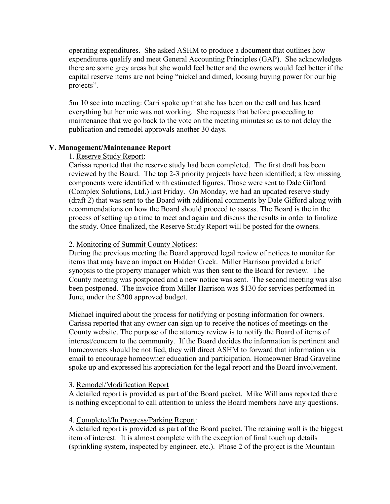operating expenditures. She asked ASHM to produce a document that outlines how expenditures qualify and meet General Accounting Principles (GAP). She acknowledges there are some grey areas but she would feel better and the owners would feel better if the capital reserve items are not being "nickel and dimed, loosing buying power for our big projects".

5m 10 sec into meeting: Carri spoke up that she has been on the call and has heard everything but her mic was not working. She requests that before proceeding to maintenance that we go back to the vote on the meeting minutes so as to not delay the publication and remodel approvals another 30 days.

#### **V. Management/Maintenance Report**

#### 1. Reserve Study Report:

Carissa reported that the reserve study had been completed. The first draft has been reviewed by the Board. The top 2-3 priority projects have been identified; a few missing components were identified with estimated figures. Those were sent to Dale Gifford (Complex Solutions, Ltd.) last Friday. On Monday, we had an updated reserve study (draft 2) that was sent to the Board with additional comments by Dale Gifford along with recommendations on how the Board should proceed to assess. The Board is the in the process of setting up a time to meet and again and discuss the results in order to finalize the study. Once finalized, the Reserve Study Report will be posted for the owners.

#### 2. Monitoring of Summit County Notices:

During the previous meeting the Board approved legal review of notices to monitor for items that may have an impact on Hidden Creek. Miller Harrison provided a brief synopsis to the property manager which was then sent to the Board for review. The County meeting was postponed and a new notice was sent. The second meeting was also been postponed. The invoice from Miller Harrison was \$130 for services performed in June, under the \$200 approved budget.

Michael inquired about the process for notifying or posting information for owners. Carissa reported that any owner can sign up to receive the notices of meetings on the County website. The purpose of the attorney review is to notify the Board of items of interest/concern to the community. If the Board decides the information is pertinent and homeowners should be notified, they will direct ASHM to forward that information via email to encourage homeowner education and participation. Homeowner Brad Graveline spoke up and expressed his appreciation for the legal report and the Board involvement.

### 3. Remodel/Modification Report

A detailed report is provided as part of the Board packet. Mike Williams reported there is nothing exceptional to call attention to unless the Board members have any questions.

### 4. Completed/In Progress/Parking Report:

A detailed report is provided as part of the Board packet. The retaining wall is the biggest item of interest. It is almost complete with the exception of final touch up details (sprinkling system, inspected by engineer, etc.). Phase 2 of the project is the Mountain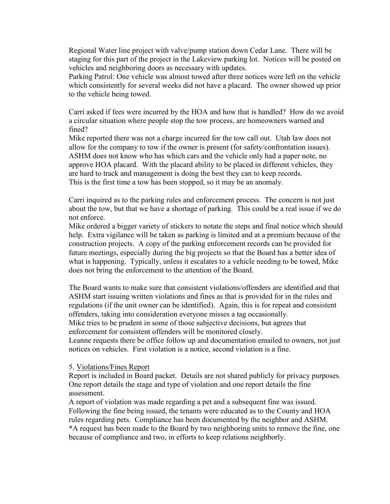Regional Water line project with valve/pump station down Cedar Lane. There will be staging for this part of the project in the Lakeview parking lot. Notices will be posted on vehicles and neighboring doors as necessary with updates.

Parking Patrol: One vehicle was almost towed after three notices were left on the vehicle which consistently for several weeks did not have a placard. The owner showed up prior to the vehicle being towed.

Carri asked if fees were incurred by the HOA and how that is handled? How do we avoid a circular situation where people stop the tow process, are homeowners warned and fined?

Mike reported there was not a charge incurred for the tow call out. Utah law does not allow for the company to tow if the owner is present (for safety/confrontation issues). ASHM does not know who has which cars and the vehicle only had a paper note, no approve HOA placard. With the placard ability to be placed in different vehicles, they are hard to track and management is doing the best they can to keep records. This is the first time a tow has been stopped, so it may be an anomaly.

Carri inquired as to the parking rules and enforcement process. The concern is not just about the tow, but that we have a shortage of parking. This could be a real issue if we do not enforce.

Mike ordered a bigger variety of stickers to notate the steps and final notice which should help. Extra vigilance will be taken as parking is limited and at a premium because of the construction projects. A copy of the parking enforcement records can be provided for future meetings, especially during the big projects so that the Board has a better idea of what is happening. Typically, unless it escalates to a vehicle needing to be towed, Mike does not bring the enforcement to the attention of the Board.

The Board wants to make sure that consistent violations/offenders are identified and that ASHM start issuing written violations and fines as that is provided for in the rules and regulations (if the unit owner can be identified). Again, this is for repeat and consistent offenders, taking into consideration everyone misses a tag occasionally.

Mike tries to be prudent in some of those subjective decisions, but agrees that enforcement for consistent offenders will be monitored closely.

Leanne requests there be office follow up and documentation emailed to owners, not just notices on vehicles. First violation is a notice, second violation is a fine.

#### 5. Violations/Fines Report

Report is included in Board packet. Details are not shared publicly for privacy purposes. One report details the stage and type of violation and one report details the fine assessment.

A report of violation was made regarding a pet and a subsequent fine was issued. Following the fine being issued, the tenants were educated as to the County and HOA rules regarding pets. Compliance has been documented by the neighbor and ASHM. \*A request has been made to the Board by two neighboring units to remove the fine, one because of compliance and two, in efforts to keep relations neighborly.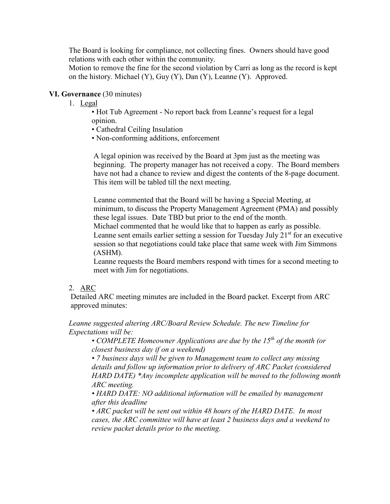The Board is looking for compliance, not collecting fines. Owners should have good relations with each other within the community.

Motion to remove the fine for the second violation by Carri as long as the record is kept on the history. Michael (Y), Guy (Y), Dan (Y), Leanne (Y). Approved.

## **VI. Governance** (30 minutes)

- 1. Legal
	- Hot Tub Agreement No report back from Leanne's request for a legal opinion.
	- Cathedral Ceiling Insulation
	- Non-conforming additions, enforcement

A legal opinion was received by the Board at 3pm just as the meeting was beginning. The property manager has not received a copy. The Board members have not had a chance to review and digest the contents of the 8-page document. This item will be tabled till the next meeting.

Leanne commented that the Board will be having a Special Meeting, at minimum, to discuss the Property Management Agreement (PMA) and possibly these legal issues. Date TBD but prior to the end of the month.

Michael commented that he would like that to happen as early as possible. Leanne sent emails earlier setting a session for Tuesday July  $21<sup>st</sup>$  for an executive session so that negotiations could take place that same week with Jim Simmons

(ASHM).

Leanne requests the Board members respond with times for a second meeting to meet with Jim for negotiations.

### 2. ARC

Detailed ARC meeting minutes are included in the Board packet. Excerpt from ARC approved minutes:

*Leanne suggested altering ARC/Board Review Schedule. The new Timeline for Expectations will be:*

• *COMPLETE Homeowner Applications are due by the 15<sup>th</sup> of the month (or closest business day if on a weekend)*

*• 7 business days will be given to Management team to collect any missing details and follow up information prior to delivery of ARC Packet (considered HARD DATE) \*Any incomplete application will be moved to the following month ARC meeting.*

*• HARD DATE: NO additional information will be emailed by management after this deadline*

*• ARC packet will be sent out within 48 hours of the HARD DATE. In most cases, the ARC committee will have at least 2 business days and a weekend to review packet details prior to the meeting.*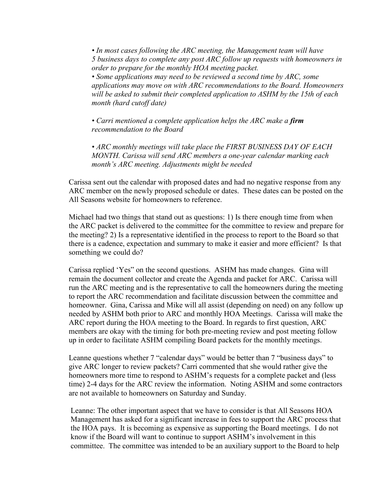*• In most cases following the ARC meeting, the Management team will have 5 business days to complete any post ARC follow up requests with homeowners in order to prepare for the monthly HOA meeting packet.*

*• Some applications may need to be reviewed a second time by ARC, some applications may move on with ARC recommendations to the Board. Homeowners will be asked to submit their completed application to ASHM by the 15th of each month (hard cutoff date)*

*• Carri mentioned a complete application helps the ARC make a firm recommendation to the Board*

*• ARC monthly meetings will take place the FIRST BUSINESS DAY OF EACH MONTH. Carissa will send ARC members a one-year calendar marking each month's ARC meeting. Adjustments might be needed*

Carissa sent out the calendar with proposed dates and had no negative response from any ARC member on the newly proposed schedule or dates. These dates can be posted on the All Seasons website for homeowners to reference.

Michael had two things that stand out as questions: 1) Is there enough time from when the ARC packet is delivered to the committee for the committee to review and prepare for the meeting? 2) Is a representative identified in the process to report to the Board so that there is a cadence, expectation and summary to make it easier and more efficient? Is that something we could do?

Carissa replied 'Yes" on the second questions. ASHM has made changes. Gina will remain the document collector and create the Agenda and packet for ARC. Carissa will run the ARC meeting and is the representative to call the homeowners during the meeting to report the ARC recommendation and facilitate discussion between the committee and homeowner. Gina, Carissa and Mike will all assist (depending on need) on any follow up needed by ASHM both prior to ARC and monthly HOA Meetings. Carissa will make the ARC report during the HOA meeting to the Board. In regards to first question, ARC members are okay with the timing for both pre-meeting review and post meeting follow up in order to facilitate ASHM compiling Board packets for the monthly meetings.

Leanne questions whether 7 "calendar days" would be better than 7 "business days" to give ARC longer to review packets? Carri commented that she would rather give the homeowners more time to respond to ASHM's requests for a complete packet and (less time) 2-4 days for the ARC review the information. Noting ASHM and some contractors are not available to homeowners on Saturday and Sunday.

Leanne: The other important aspect that we have to consider is that All Seasons HOA Management has asked for a significant increase in fees to support the ARC process that the HOA pays. It is becoming as expensive as supporting the Board meetings. I do not know if the Board will want to continue to support ASHM's involvement in this committee. The committee was intended to be an auxiliary support to the Board to help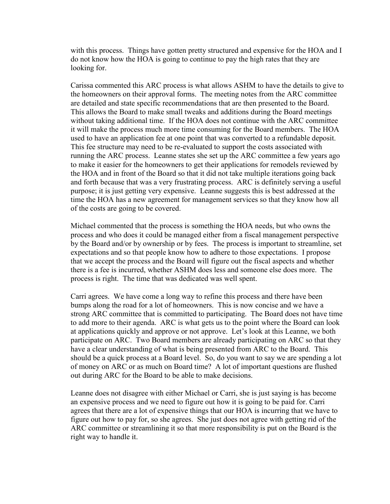with this process. Things have gotten pretty structured and expensive for the HOA and I do not know how the HOA is going to continue to pay the high rates that they are looking for.

Carissa commented this ARC process is what allows ASHM to have the details to give to the homeowners on their approval forms. The meeting notes from the ARC committee are detailed and state specific recommendations that are then presented to the Board. This allows the Board to make small tweaks and additions during the Board meetings without taking additional time. If the HOA does not continue with the ARC committee it will make the process much more time consuming for the Board members. The HOA used to have an application fee at one point that was converted to a refundable deposit. This fee structure may need to be re-evaluated to support the costs associated with running the ARC process. Leanne states she set up the ARC committee a few years ago to make it easier for the homeowners to get their applications for remodels reviewed by the HOA and in front of the Board so that it did not take multiple iterations going back and forth because that was a very frustrating process. ARC is definitely serving a useful purpose; it is just getting very expensive. Leanne suggests this is best addressed at the time the HOA has a new agreement for management services so that they know how all of the costs are going to be covered.

Michael commented that the process is something the HOA needs, but who owns the process and who does it could be managed either from a fiscal management perspective by the Board and/or by ownership or by fees. The process is important to streamline, set expectations and so that people know how to adhere to those expectations. I propose that we accept the process and the Board will figure out the fiscal aspects and whether there is a fee is incurred, whether ASHM does less and someone else does more. The process is right. The time that was dedicated was well spent.

Carri agrees. We have come a long way to refine this process and there have been bumps along the road for a lot of homeowners. This is now concise and we have a strong ARC committee that is committed to participating. The Board does not have time to add more to their agenda. ARC is what gets us to the point where the Board can look at applications quickly and approve or not approve. Let's look at this Leanne, we both participate on ARC. Two Board members are already participating on ARC so that they have a clear understanding of what is being presented from ARC to the Board. This should be a quick process at a Board level. So, do you want to say we are spending a lot of money on ARC or as much on Board time? A lot of important questions are flushed out during ARC for the Board to be able to make decisions.

Leanne does not disagree with either Michael or Carri, she is just saying is has become an expensive process and we need to figure out how it is going to be paid for. Carri agrees that there are a lot of expensive things that our HOA is incurring that we have to figure out how to pay for, so she agrees. She just does not agree with getting rid of the ARC committee or streamlining it so that more responsibility is put on the Board is the right way to handle it.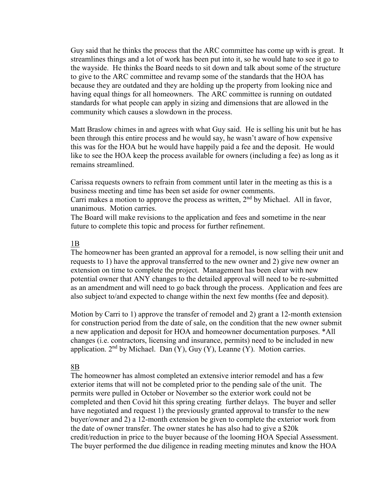Guy said that he thinks the process that the ARC committee has come up with is great. It streamlines things and a lot of work has been put into it, so he would hate to see it go to the wayside. He thinks the Board needs to sit down and talk about some of the structure to give to the ARC committee and revamp some of the standards that the HOA has because they are outdated and they are holding up the property from looking nice and having equal things for all homeowners. The ARC committee is running on outdated standards for what people can apply in sizing and dimensions that are allowed in the community which causes a slowdown in the process.

Matt Braslow chimes in and agrees with what Guy said. He is selling his unit but he has been through this entire process and he would say, he wasn't aware of how expensive this was for the HOA but he would have happily paid a fee and the deposit. He would like to see the HOA keep the process available for owners (including a fee) as long as it remains streamlined.

Carissa requests owners to refrain from comment until later in the meeting as this is a business meeting and time has been set aside for owner comments.

Carri makes a motion to approve the process as written,  $2<sup>nd</sup>$  by Michael. All in favor, unanimous. Motion carries.

The Board will make revisions to the application and fees and sometime in the near future to complete this topic and process for further refinement.

#### 1B

The homeowner has been granted an approval for a remodel, is now selling their unit and requests to 1) have the approval transferred to the new owner and 2) give new owner an extension on time to complete the project. Management has been clear with new potential owner that ANY changes to the detailed approval will need to be re-submitted as an amendment and will need to go back through the process. Application and fees are also subject to/and expected to change within the next few months (fee and deposit).

Motion by Carri to 1) approve the transfer of remodel and 2) grant a 12-month extension for construction period from the date of sale, on the condition that the new owner submit a new application and deposit for HOA and homeowner documentation purposes. \*All changes (i.e. contractors, licensing and insurance, permits) need to be included in new application.  $2<sup>nd</sup>$  by Michael. Dan (Y), Guy (Y), Leanne (Y). Motion carries.

#### 8B

The homeowner has almost completed an extensive interior remodel and has a few exterior items that will not be completed prior to the pending sale of the unit. The permits were pulled in October or November so the exterior work could not be completed and then Covid hit this spring creating further delays. The buyer and seller have negotiated and request 1) the previously granted approval to transfer to the new buyer/owner and 2) a 12-month extension be given to complete the exterior work from the date of owner transfer. The owner states he has also had to give a \$20k credit/reduction in price to the buyer because of the looming HOA Special Assessment. The buyer performed the due diligence in reading meeting minutes and know the HOA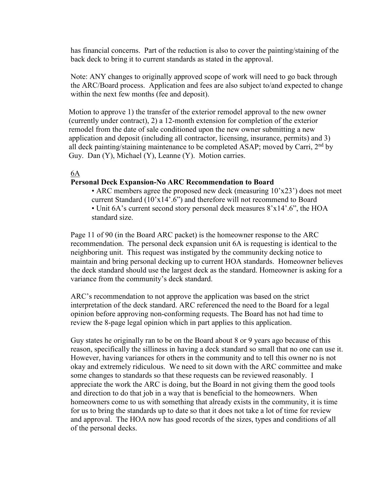has financial concerns. Part of the reduction is also to cover the painting/staining of the back deck to bring it to current standards as stated in the approval.

Note: ANY changes to originally approved scope of work will need to go back through the ARC/Board process. Application and fees are also subject to/and expected to change within the next few months (fee and deposit).

Motion to approve 1) the transfer of the exterior remodel approval to the new owner (currently under contract), 2) a 12-month extension for completion of the exterior remodel from the date of sale conditioned upon the new owner submitting a new application and deposit (including all contractor, licensing, insurance, permits) and 3) all deck painting/staining maintenance to be completed ASAP; moved by Carri,  $2<sup>nd</sup>$  by Guy. Dan (Y), Michael (Y), Leanne (Y). Motion carries.

#### 6A

#### **Personal Deck Expansion-No ARC Recommendation to Board**

• ARC members agree the proposed new deck (measuring 10'x23') does not meet current Standard (10'x14'.6") and therefore will not recommend to Board • Unit 6A's current second story personal deck measures 8'x14'.6", the HOA standard size.

Page 11 of 90 (in the Board ARC packet) is the homeowner response to the ARC recommendation. The personal deck expansion unit 6A is requesting is identical to the neighboring unit. This request was instigated by the community decking notice to maintain and bring personal decking up to current HOA standards. Homeowner believes the deck standard should use the largest deck as the standard. Homeowner is asking for a variance from the community's deck standard.

ARC's recommendation to not approve the application was based on the strict interpretation of the deck standard. ARC referenced the need to the Board for a legal opinion before approving non-conforming requests. The Board has not had time to review the 8-page legal opinion which in part applies to this application.

Guy states he originally ran to be on the Board about 8 or 9 years ago because of this reason, specifically the silliness in having a deck standard so small that no one can use it. However, having variances for others in the community and to tell this owner no is not okay and extremely ridiculous. We need to sit down with the ARC committee and make some changes to standards so that these requests can be reviewed reasonably. I appreciate the work the ARC is doing, but the Board in not giving them the good tools and direction to do that job in a way that is beneficial to the homeowners. When homeowners come to us with something that already exists in the community, it is time for us to bring the standards up to date so that it does not take a lot of time for review and approval. The HOA now has good records of the sizes, types and conditions of all of the personal decks.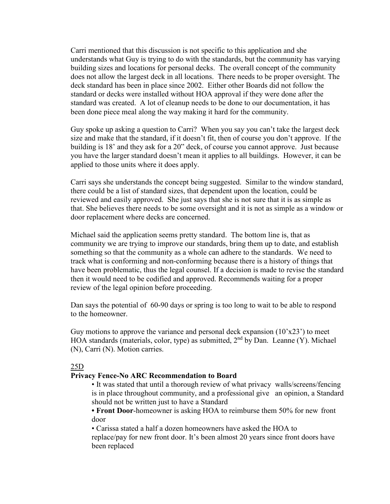Carri mentioned that this discussion is not specific to this application and she understands what Guy is trying to do with the standards, but the community has varying building sizes and locations for personal decks. The overall concept of the community does not allow the largest deck in all locations. There needs to be proper oversight. The deck standard has been in place since 2002. Either other Boards did not follow the standard or decks were installed without HOA approval if they were done after the standard was created. A lot of cleanup needs to be done to our documentation, it has been done piece meal along the way making it hard for the community.

Guy spoke up asking a question to Carri? When you say you can't take the largest deck size and make that the standard, if it doesn't fit, then of course you don't approve. If the building is 18' and they ask for a 20" deck, of course you cannot approve. Just because you have the larger standard doesn't mean it applies to all buildings. However, it can be applied to those units where it does apply.

Carri says she understands the concept being suggested. Similar to the window standard, there could be a list of standard sizes, that dependent upon the location, could be reviewed and easily approved. She just says that she is not sure that it is as simple as that. She believes there needs to be some oversight and it is not as simple as a window or door replacement where decks are concerned.

Michael said the application seems pretty standard. The bottom line is, that as community we are trying to improve our standards, bring them up to date, and establish something so that the community as a whole can adhere to the standards. We need to track what is conforming and non-conforming because there is a history of things that have been problematic, thus the legal counsel. If a decision is made to revise the standard then it would need to be codified and approved. Recommends waiting for a proper review of the legal opinion before proceeding.

Dan says the potential of 60-90 days or spring is too long to wait to be able to respond to the homeowner.

Guy motions to approve the variance and personal deck expansion  $(10'x23')$  to meet HOA standards (materials, color, type) as submitted,  $2<sup>nd</sup>$  by Dan. Leanne (Y). Michael (N), Carri (N). Motion carries.

### 25D

### **Privacy Fence-No ARC Recommendation to Board**

• It was stated that until a thorough review of what privacy walls/screens/fencing is in place throughout community, and a professional give an opinion, a Standard should not be written just to have a Standard

**• Front Door**-homeowner is asking HOA to reimburse them 50% for new front door

• Carissa stated a half a dozen homeowners have asked the HOA to

replace/pay for new front door. It's been almost 20 years since front doors have been replaced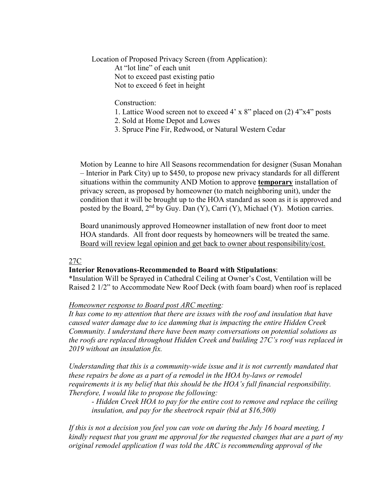Location of Proposed Privacy Screen (from Application): At "lot line" of each unit Not to exceed past existing patio Not to exceed 6 feet in height

Construction:

- 1. Lattice Wood screen not to exceed 4' x 8" placed on (2) 4"x4" posts
- 2. Sold at Home Depot and Lowes
- 3. Spruce Pine Fir, Redwood, or Natural Western Cedar

Motion by Leanne to hire All Seasons recommendation for designer (Susan Monahan – Interior in Park City) up to \$450, to propose new privacy standards for all different situations within the community AND Motion to approve **temporary** installation of privacy screen, as proposed by homeowner (to match neighboring unit), under the condition that it will be brought up to the HOA standard as soon as it is approved and posted by the Board,  $2<sup>nd</sup>$  by Guy. Dan (Y), Carri (Y), Michael (Y). Motion carries.

Board unanimously approved Homeowner installation of new front door to meet HOA standards. All front door requests by homeowners will be treated the same. Board will review legal opinion and get back to owner about responsibility/cost.

#### 27C

#### **Interior Renovations-Recommended to Board with Stipulations**:

\*Insulation Will be Sprayed in Cathedral Ceiling at Owner's Cost, Ventilation will be Raised 2 1/2" to Accommodate New Roof Deck (with foam board) when roof is replaced

#### *Homeowner response to Board post ARC meeting:*

*It has come to my attention that there are issues with the roof and insulation that have caused water damage due to ice damming that is impacting the entire Hidden Creek Community. I understand there have been many conversations on potential solutions as the roofs are replaced throughout Hidden Creek and building 27C's roof was replaced in 2019 without an insulation fix.*

*Understanding that this is a community-wide issue and it is not currently mandated that these repairs be done as a part of a remodel in the HOA by-laws or remodel requirements it is my belief that this should be the HOA's full financial responsibility. Therefore, I would like to propose the following:*

*- Hidden Creek HOA to pay for the entire cost to remove and replace the ceiling insulation, and pay for the sheetrock repair (bid at \$16,500)*

*If this is not a decision you feel you can vote on during the July 16 board meeting, I kindly request that you grant me approval for the requested changes that are a part of my original remodel application (I was told the ARC is recommending approval of the*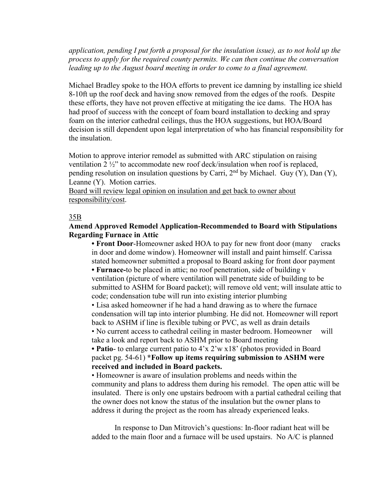*application, pending I put forth a proposal for the insulation issue), as to not hold up the process to apply for the required county permits. We can then continue the conversation leading up to the August board meeting in order to come to a final agreement.*

Michael Bradley spoke to the HOA efforts to prevent ice damning by installing ice shield 8-10ft up the roof deck and having snow removed from the edges of the roofs. Despite these efforts, they have not proven effective at mitigating the ice dams. The HOA has had proof of success with the concept of foam board installation to decking and spray foam on the interior cathedral ceilings, thus the HOA suggestions, but HOA/Board decision is still dependent upon legal interpretation of who has financial responsibility for the insulation.

Motion to approve interior remodel as submitted with ARC stipulation on raising ventilation 2 ½" to accommodate new roof deck/insulation when roof is replaced, pending resolution on insulation questions by Carri,  $2<sup>nd</sup>$  by Michael. Guy (Y), Dan (Y), Leanne (Y). Motion carries.

Board will review legal opinion on insulation and get back to owner about responsibility/cost.

#### 35B

#### **Amend Approved Remodel Application-Recommended to Board with Stipulations Regarding Furnace in Attic**

**• Front Door**-Homeowner asked HOA to pay for new front door (many cracks in door and dome window). Homeowner will install and paint himself. Carissa stated homeowner submitted a proposal to Board asking for front door payment

**• Furnace-**to be placed in attic; no roof penetration, side of building v ventilation (picture of where ventilation will penetrate side of building to be submitted to ASHM for Board packet); will remove old vent; will insulate attic to code; condensation tube will run into existing interior plumbing

• Lisa asked homeowner if he had a hand drawing as to where the furnace condensation will tap into interior plumbing. He did not. Homeowner will report back to ASHM if line is flexible tubing or PVC, as well as drain details

• No current access to cathedral ceiling in master bedroom. Homeowner will take a look and report back to ASHM prior to Board meeting

**• Patio**- to enlarge current patio to 4'x 2'w x18' (photos provided in Board packet pg. 54-61) **\*Follow up items requiring submission to ASHM were received and included in Board packets.**

• Homeowner is aware of insulation problems and needs within the community and plans to address them during his remodel. The open attic will be insulated. There is only one upstairs bedroom with a partial cathedral ceiling that the owner does not know the status of the insulation but the owner plans to address it during the project as the room has already experienced leaks.

In response to Dan Mitrovich's questions: In-floor radiant heat will be added to the main floor and a furnace will be used upstairs. No A/C is planned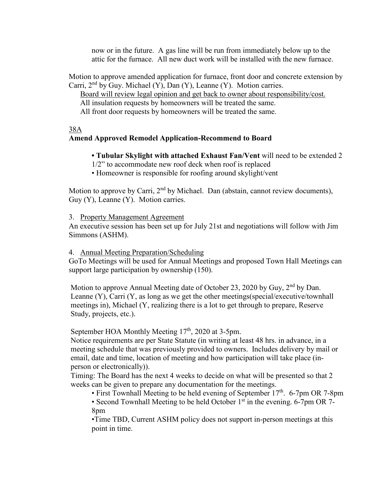now or in the future. A gas line will be run from immediately below up to the attic for the furnace. All new duct work will be installed with the new furnace.

Motion to approve amended application for furnace, front door and concrete extension by Carri,  $2<sup>nd</sup>$  by Guy. Michael (Y), Dan (Y), Leanne (Y). Motion carries.

Board will review legal opinion and get back to owner about responsibility/cost. All insulation requests by homeowners will be treated the same. All front door requests by homeowners will be treated the same.

### 38A

## **Amend Approved Remodel Application-Recommend to Board**

**• Tubular Skylight with attached Exhaust Fan/Vent** will need to be extended 2

- 1/2" to accommodate new roof deck when roof is replaced
- Homeowner is responsible for roofing around skylight/vent

Motion to approve by Carri,  $2<sup>nd</sup>$  by Michael. Dan (abstain, cannot review documents), Guy (Y), Leanne (Y). Motion carries.

3. Property Management Agreement

An executive session has been set up for July 21st and negotiations will follow with Jim Simmons (ASHM).

#### 4. Annual Meeting Preparation/Scheduling

GoTo Meetings will be used for Annual Meetings and proposed Town Hall Meetings can support large participation by ownership (150).

Motion to approve Annual Meeting date of October 23, 2020 by Guy, 2<sup>nd</sup> by Dan. Leanne (Y), Carri (Y, as long as we get the other meetings(special/executive/townhall meetings in), Michael (Y, realizing there is a lot to get through to prepare, Reserve Study, projects, etc.).

September HOA Monthly Meeting  $17<sup>th</sup>$ , 2020 at 3-5pm.

Notice requirements are per State Statute (in writing at least 48 hrs. in advance, in a meeting schedule that was previously provided to owners. Includes delivery by mail or email, date and time, location of meeting and how participation will take place (inperson or electronically)).

Timing: The Board has the next 4 weeks to decide on what will be presented so that 2 weeks can be given to prepare any documentation for the meetings.

• First Townhall Meeting to be held evening of September  $17<sup>th</sup>$ . 6-7pm OR 7-8pm

• Second Townhall Meeting to be held October  $1<sup>st</sup>$  in the evening. 6-7pm OR 7-8pm

•Time TBD, Current ASHM policy does not support in-person meetings at this point in time.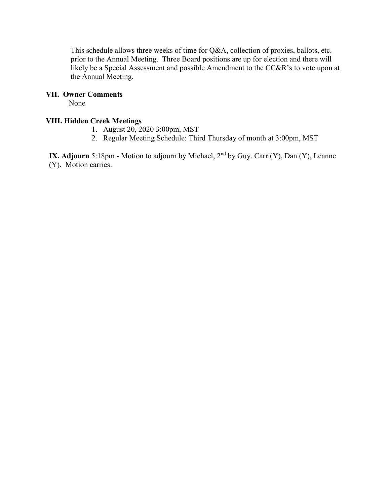This schedule allows three weeks of time for Q&A, collection of proxies, ballots, etc. prior to the Annual Meeting. Three Board positions are up for election and there will likely be a Special Assessment and possible Amendment to the CC&R's to vote upon at the Annual Meeting.

## **VII. Owner Comments**

None

## **VIII. Hidden Creek Meetings**

- 1. August 20, 2020 3:00pm, MST
- 2. Regular Meeting Schedule: Third Thursday of month at 3:00pm, MST

**IX. Adjourn** 5:18pm - Motion to adjourn by Michael, 2<sup>nd</sup> by Guy. Carri(Y), Dan (Y), Leanne (Y). Motion carries.